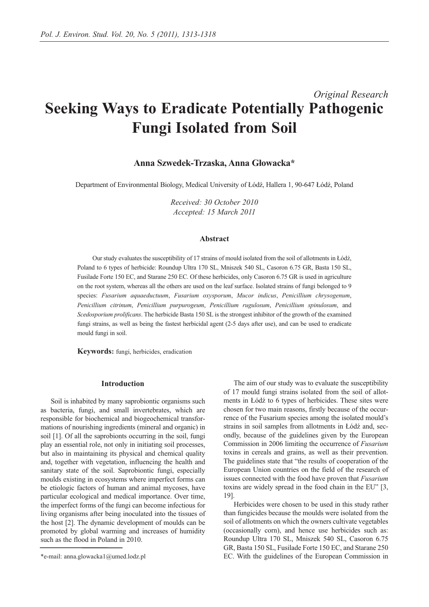# *Original Research* **Seeking Ways to Eradicate Potentially Pathogenic Fungi Isolated from Soil**

## **Anna Szwedek-Trzaska, Anna Głowacka\***

Department of Environmental Biology, Medical University of Łódź, Hallera 1, 90-647 Łódź, Poland

*Received: 30 October 2010 Accepted: 15 March 2011*

## **Abstract**

Our study evaluates the susceptibility of 17 strains of mould isolated from the soil of allotments in Łódź, Poland to 6 types of herbicide: Roundup Ultra 170 SL, Mniszek 540 SL, Casoron 6.75 GR, Basta 150 SL, Fusilade Forte 150 EC, and Starane 250 EC. Of these herbicides, only Casoron 6.75 GR is used in agriculture on the root system, whereas all the others are used on the leaf surface. Isolated strains of fungi belonged to 9 species: *Fusarium aquaeductuum*, *Fusarium oxysporum*, *Mucor indicus*, *Penicillium chrysogenum*, *Penicillium citrinum*, *Penicillium purpurogeum*, *Penicillium rugulosum*, *Penicillium spinulosum*, and *Scedosporium prolificans*. The herbicide Basta 150 SL is the strongest inhibitor of the growth of the examined fungi strains, as well as being the fastest herbicidal agent (2-5 days after use), and can be used to eradicate mould fungi in soil.

**Keywords:** fungi, herbicides, eradication

### **Introduction**

Soil is inhabited by many saprobiontic organisms such as bacteria, fungi, and small invertebrates, which are responsible for biochemical and biogeochemical transformations of nourishing ingredients (mineral and organic) in soil [1]. Of all the saprobionts occurring in the soil, fungi play an essential role, not only in initiating soil processes, but also in maintaining its physical and chemical quality and, together with vegetation, influencing the health and sanitary state of the soil. Saprobiontic fungi, especially moulds existing in ecosystems where imperfect forms can be etiologic factors of human and animal mycoses, have particular ecological and medical importance. Over time, the imperfect forms of the fungi can become infectious for living organisms after being inoculated into the tissues of the host [2]. The dynamic development of moulds can be promoted by global warming and increases of humidity such as the flood in Poland in 2010.

The aim of our study was to evaluate the susceptibility of 17 mould fungi strains isolated from the soil of allotments in Łódź to 6 types of herbicides. These sites were chosen for two main reasons, firstly because of the occurrence of the Fusarium species among the isolated mould's strains in soil samples from allotments in Łódź and, secondly, because of the guidelines given by the European Commission in 2006 limiting the occurrence of *Fusarium* toxins in cereals and grains, as well as their prevention. The guidelines state that "the results of cooperation of the European Union countries on the field of the research of issues connected with the food have proven that *Fusarium* toxins are widely spread in the food chain in the EU" [3, 19].

Herbicides were chosen to be used in this study rather than fungicides because the moulds were isolated from the soil of allotments on which the owners cultivate vegetables (occasionally corn), and hence use herbicides such as: Roundup Ultra 170 SL, Mniszek 540 SL, Casoron 6.75 GR, Basta 150 SL, Fusilade Forte 150 EC, and Starane 250 EC. With the guidelines of the European Commission in

<sup>\*</sup>e-mail: anna.glowacka1@umed.lodz.pl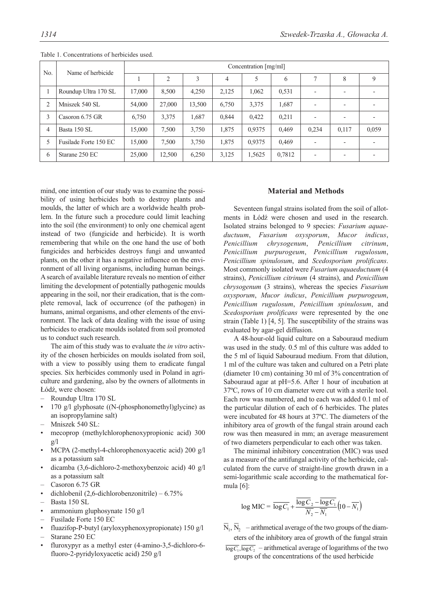| N <sub>o</sub> | Name of herbicide     |        |                |        |       | Concentration [mg/ml] |        |                          |                          |       |
|----------------|-----------------------|--------|----------------|--------|-------|-----------------------|--------|--------------------------|--------------------------|-------|
|                |                       |        | $\overline{2}$ | 3      | 4     | 5                     | 6      |                          | 8                        | 9     |
|                | Roundup Ultra 170 SL  | 17,000 | 8,500          | 4,250  | 2,125 | 1,062                 | 0,531  | $\overline{a}$           | $\overline{\phantom{0}}$ |       |
| $\overline{2}$ | Mniszek 540 SL        | 54,000 | 27,000         | 13,500 | 6,750 | 3,375                 | 1,687  |                          | $\overline{a}$           |       |
| 3              | Casoron $6.75$ GR     | 6,750  | 3,375          | 1,687  | 0.844 | 0.422                 | 0,211  |                          | $\overline{\phantom{0}}$ |       |
| 4              | Basta 150 SL          | 15,000 | 7,500          | 3,750  | 1,875 | 0.9375                | 0,469  | 0,234                    | 0,117                    | 0,059 |
|                | Fusilade Forte 150 EC | 15,000 | 7,500          | 3,750  | 1,875 | 0.9375                | 0,469  |                          | $\overline{\phantom{0}}$ |       |
| 6              | Starane 250 EC        | 25,000 | 12,500         | 6,250  | 3,125 | 1,5625                | 0,7812 | $\overline{\phantom{0}}$ | $\overline{a}$           |       |

Table 1. Concentrations of herbicides used.

mind, one intention of our study was to examine the possibility of using herbicides both to destroy plants and moulds, the latter of which are a worldwide health problem. In the future such a procedure could limit leaching into the soil (the environment) to only one chemical agent instead of two (fungicide and herbicide). It is worth remembering that while on the one hand the use of both fungicides and herbicides destroys fungi and unwanted plants, on the other it has a negative influence on the environment of all living organisms, including human beings. A search of available literature reveals no mention of either limiting the development of potentially pathogenic moulds appearing in the soil, nor their eradication, that is the complete removal, lack of occurrence (of the pathogen) in humans, animal organisms, and other elements of the environment. The lack of data dealing with the issue of using herbicides to eradicate moulds isolated from soil promoted us to conduct such research.

The aim of this study was to evaluate the *in vitro* activity of the chosen herbicides on moulds isolated from soil, with a view to possibly using them to eradicate fungal species. Six herbicides commonly used in Poland in agriculture and gardening, also by the owners of allotments in Łódź, were chosen:

- Roundup Ultra 170 SL
- 170  $g$ /l glyphosate ((N-(phosphonomethyl)glycine) as an isopropylamine salt)
- Mniszek 540 SL:
- mecoprop (methylchlorophenoxypropionic acid) 300 g/l
- MCPA (2-methyl-4-chlorophenoxyacetic acid) 200 g/l as a potassium salt
- dicamba (3,6-dichloro-2-methoxybenzoic acid) 40 g/l as a potassium salt
- Casoron 6.75 GR
- dichlobenil (2,6-dichlorobenzonitrile)  $6.75\%$
- Basta 150 SL
- ammonium gluphosynate 150 g/l
- Fusilade Forte 150 EC
- fluazifop-P-butyl (aryloxyphenoxypropionate) 150 g/l – Starane 250 EC
- fluroxypyr as a methyl ester (4-amino-3,5-dichloro-6 fluoro-2-pyridyloxyacetic acid) 250 g/l

## **Material and Methods**

Seventeen fungal strains isolated from the soil of allotments in Łódź were chosen and used in the research. Isolated strains belonged to 9 species: *Fusarium aquaeductuum*, *Fusarium oxysporum*, *Mucor indicus*, *Penicillium chrysogenum*, *Penicillium citrinum*, *Penicillium purpurogeum*, *Penicillium rugulosum*, *Penicillium spinulosum*, and *Scedosporium prolificans*. Most commonly isolated were *Fusarium aquaeductuum* (4 strains), *Penicillium citrinum* (4 strains), and *Penicillium chrysogenum* (3 strains), whereas the species *Fusarium oxysporum*, *Mucor indicus*, *Penicillium purpurogeum*, *Penicillium rugulosum*, *Penicillium spinulosum*, and *Scedosporium prolificans* were represented by the one strain (Table 1) [4, 5]. The susceptibility of the strains was evaluated by agar-gel diffusion.

A 48-hour-old liquid culture on a Sabouraud medium was used in the study. 0.5 ml of this culture was added to the 5 ml of liquid Sabouraud medium. From that dilution, 1 ml of the culture was taken and cultured on a Petri plate (diameter 10 cm) containing 30 ml of 3% concentration of Sabouraud agar at pH=5.6. After 1 hour of incubation at 37ºC, rows of 10 cm diameter were cut with a sterile tool. Each row was numbered, and to each was added 0.1 ml of the particular dilution of each of 6 herbicides. The plates were incubated for 48 hours at 37ºC. The diameters of the inhibitory area of growth of the fungal strain around each row was then measured in mm; an average measurement of two diameters perpendicular to each other was taken.

The minimal inhibitory concentration (MIC) was used as a measure of the antifungal activity of the herbicide, calculated from the curve of straight-line growth drawn in a semi-logarithmic scale according to the mathematical formula [6]:

$$
\log \text{MIC} = \overline{\log C_1} + \frac{\overline{\log C_2} - \overline{\log C_1}}{\overline{N_2} - \overline{N_1}} \Big( 10 - \overline{N_1} \Big)
$$

- $\overline{N}_1$ ,  $\overline{N}_2$  arithmetical average of the two groups of the diameters of the inhibitory area of growth of the fungal strain
- $\overline{\log C_1}$ ,  $\overline{\log C_2}$  arithmetical average of logarithms of the two groups of the concentrations of the used herbicide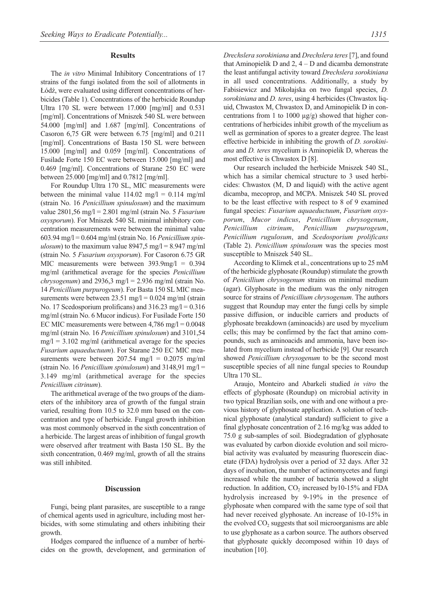## **Results**

The *in vitro* Minimal Inhibitory Concentrations of 17 strains of the fungi isolated from the soil of allotments in Łódź, were evaluated using different concentrations of herbicides (Table 1). Concentrations of the herbicide Roundup Ultra 170 SL were between 17.000 [mg/ml] and 0.531 [mg/ml]. Concentrations of Mniszek 540 SL were between 54.000 [mg/ml] and 1.687 [mg/ml]. Concentrations of Casoron 6,75 GR were between 6.75 [mg/ml] and 0.211 [mg/ml]. Concentrations of Basta 150 SL were between 15.000 [mg/ml] and 0.059 [mg/ml]. Concentrations of Fusilade Forte 150 EC were between 15.000 [mg/ml] and 0.469 [mg/ml]. Concentrations of Starane 250 EC were between 25.000 [mg/ml] and 0.7812 [mg/ml].

For Roundup Ultra 170 SL, MIC measurements were between the minimal value  $114.02 \text{ mg/l} = 0.114 \text{ mg/ml}$ (strain No. 16 *Penicillium spinulosum*) and the maximum value 2801,56 mg/l = 2.801 mg/ml (strain No. 5 *Fusarium oxysporum*). For Mniszek 540 SL minimal inhibitory concentration measurements were between the minimal value 603.94 mg/l = 0.604 mg/ml (strain No. 16 *Penicillium spinulosum*) to the maximum value  $8947.5$  mg/l =  $8.947$  mg/ml (strain No. 5 *Fusarium oxysporum*). For Casoron 6.75 GR MIC measurements were between 393.9mg/l = 0.394 mg/ml (arithmetical average for the species *Penicillium chrysogenum*) and 2936,3 mg/l = 2.936 mg/ml (strain No. 14 *Penicillium purpurogeum*). For Basta 150 SL MIC measurements were between  $23.51 \text{ mg/l} = 0.024 \text{ mg/ml (strain)}$ No. 17 Scedosporium prolificans) and  $316.23$  mg/l = 0.316 mg/ml (strain No. 6 Mucor indicus). For Fusilade Forte 150 EC MIC measurements were between  $4,786$  mg/l =  $0.0048$ mg/ml (strain No. 16 *Penicillium spinulosum*) and 3101,54  $mg/l = 3.102$  mg/ml (arithmetical average for the species *Fusarium aquaeductuum*). For Starane 250 EC MIC measurements were between  $207.54$  mg/l = 0.2075 mg/ml (strain No. 16 *Penicillium spinulosum*) and 3148,91 mg/l = 3.149 mg/ml (arithmetical average for the species *Penicillium citrinum*).

The arithmetical average of the two groups of the diameters of the inhibitory area of growth of the fungal strain varied, resulting from 10.5 to 32.0 mm based on the concentration and type of herbicide. Fungal growth inhibition was most commonly observed in the sixth concentration of a herbicide. The largest areas of inhibition of fungal growth were observed after treatment with Basta 150 SL. By the sixth concentration, 0.469 mg/ml, growth of all the strains was still inhibited.

#### **Discussion**

Fungi, being plant parasites, are susceptible to a range of chemical agents used in agriculture, including most herbicides, with some stimulating and others inhibiting their growth.

Hodges compared the influence of a number of herbicides on the growth, development, and germination of *Drechslera sorokiniana* and *Drechslera teres*[7], and found that Aminopielik D and  $2, 4 - D$  and dicamba demonstrate the least antifungal activity toward *Drechslera sorokiniana* in all used concentrations. Additionally, a study by Fabisiewicz and Mikołajska on two fungal species, *D. sorokiniana* and *D. teres*, using 4 herbicides (Chwastox liquid, Chwastox M, Chwastox D, and Aminopielik D in concentrations from 1 to 1000  $\mu$ g/g) showed that higher concentrations of herbicides inhibit growth of the mycelium as well as germination of spores to a greater degree. The least effective herbicide in inhibiting the growth of *D. sorokiniana* and *D. teres* mycelium is Aminopielik D, whereas the most effective is Chwastox D [8].

Our research included the herbicide Mniszek 540 SL, which has a similar chemical structure to 3 used herbicides: Chwastox (M, D and liquid) with the active agent dicamba, mecoprop, and MCPA. Mniszek 540 SL proved to be the least effective with respect to 8 of 9 examined fungal species: *Fusarium aquaeductuum*, *Fusarium oxysporum*, *Mucor indicus*, *Penicillium chrysogenum*, *Penicillium citrinum*, *Penicillium purpurogeum*, *Penicillium rugulosum*, and *Scedosporium prolificans* (Table 2). *Penicillium spinulosum* was the species most susceptible to Mniszek 540 SL.

According to Klimek et al., concentrations up to 25 mM of the herbicide glyphosate (Roundup) stimulate the growth of *Penicillium chrysogenum* strains on minimal medium (agar). Glyphosate in the medium was the only nitrogen source for strains of *Penicillium chrysogenum*. The authors suggest that Roundup may enter the fungi cells by simple passive diffusion, or inducible carriers and products of glyphosate breakdown (aminoacids) are used by mycelium cells; this may be confirmed by the fact that amino compounds, such as aminoacids and ammonia, have been isolated from mycelium instead of herbicide [9]. Our research showed *Penicillium chrysogenum* to be the second most susceptible species of all nine fungal species to Roundup Ultra 170 SL.

Araujo, Monteiro and Abarkeli studied *in vitro* the effects of glyphosate (Roundup) on microbial activity in two typical Brazilian soils, one with and one without a previous history of glyphosate application. A solution of technical glyphosate (analytical standard) sufficient to give a final glyphosate concentration of 2.16 mg/kg was added to 75.0 g sub-samples of soil. Biodegradation of glyphosate was evaluated by carbon dioxide evolution and soil microbial activity was evaluated by measuring fluorescein diacetate (FDA) hydrolysis over a period of 32 days. After 32 days of incubation, the number of actinomycetes and fungi increased while the number of bacteria showed a slight reduction. In addition,  $CO_2$  increased by 10-15% and FDA hydrolysis increased by 9-19% in the presence of glyphosate when compared with the same type of soil that had never received glyphosate. An increase of 10-15% in the evolved  $CO<sub>2</sub>$  suggests that soil microorganisms are able to use glyphosate as a carbon source. The authors observed that glyphosate quickly decomposed within 10 days of incubation [10].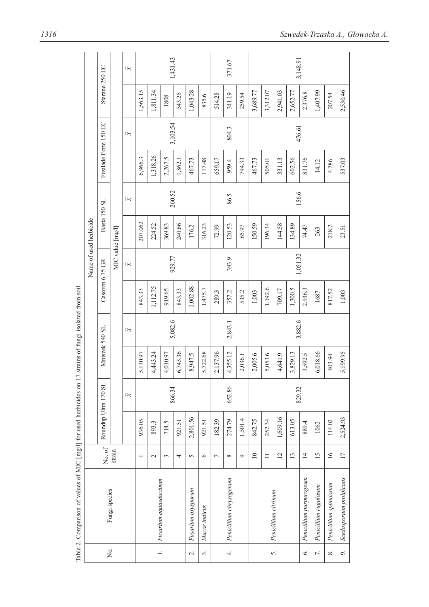|                     |                          |                          |                      |                         |                |                         |                 | Name of used herbicide |              |                         |                       |                         |                |                         |
|---------------------|--------------------------|--------------------------|----------------------|-------------------------|----------------|-------------------------|-----------------|------------------------|--------------|-------------------------|-----------------------|-------------------------|----------------|-------------------------|
| Σ.                  |                          | No. of 1                 | Roundup Ultra 170 SL |                         | Mniszek 540 SL |                         | Casoron 6.75 GR |                        | Basta 150 SL |                         | Fusilade Forte 150 EC |                         | Starane 250 EC |                         |
|                     | Fungi species            | strain                   |                      |                         |                |                         |                 | MIC value [mg/l]       |              |                         |                       |                         |                |                         |
|                     |                          |                          |                      | $\overline{\mathbf{z}}$ |                | $\overline{\mathbf{z}}$ |                 | $\overline{\varkappa}$ |              | $\overline{\mathbf{z}}$ |                       | $\overline{\mathbf{z}}$ |                | $\overline{\mathbf{z}}$ |
|                     |                          | $\overline{\phantom{0}}$ | 936.05               |                         | 5,130.97       |                         | 843.33          |                        | 207.062      |                         | 6,966.3               |                         | 1,563.15       |                         |
|                     |                          | $\mathcal{L}$            | 893.3                |                         | 4,443.24       |                         | 1,112.75        |                        | 224.52       |                         | 1,318.26              |                         | 1,811.34       |                         |
| $\overline{a}$      | Fusarium aquaeductuum    | 3                        | 714.5                | 866.34                  | 4,010.97       |                         | 919.65          | 929.77                 | 369.83       | 260.52                  | 2,267.5               | 3,103.54                | 1808           | 1,431.43                |
|                     |                          | 4                        | 921.51               |                         | 6,745.36       | 5,082.6                 | 843.33          |                        | 240.66       |                         | 1,862.1               |                         | 543.25         |                         |
| $\overline{\sim}$   | Fusarium oxysporum       | 5                        | 2,801.56             |                         | 8,947.5        |                         | 1,002.88        |                        | 176.2        |                         | 467.73                |                         | 1,043.28       |                         |
| $\ddot{\mathrm{c}}$ | Mucor indicus            | $\circ$                  | 921.51               |                         | 5,722.68       |                         | 1,475.7         |                        | 316.23       |                         | 117.48                |                         | 835.6          |                         |
|                     |                          | Γ                        | 182.39               |                         | 2,137.96       |                         | 289.3           |                        | 72.99        |                         | 659.17                |                         | 514.28         |                         |
| 4.                  | Penicillium chrysogenum  | $\infty$                 | 274.79               | 652.86                  | 4,355.12       | 2,843.1                 | 357.2           | 393.9                  | 120.53       | 86.5                    | 959.4                 | 804.3                   | 341.19         | 371.67                  |
|                     |                          | $\circ$                  | 1,501.4              |                         | 2,036.1        |                         | 535.2           |                        | 65.97        |                         | 794.33                |                         | 259.54         |                         |
|                     |                          | $\overline{10}$          | 842.75               |                         | 2,005.6        |                         | 1,003           |                        | 150.59       |                         | 467.73                |                         | 3,689.77       |                         |
| $\vec{5}$           | Penicillium citrinum     | $\equiv$                 | 252.34               |                         | 5,053.6        |                         | 1,192.6         |                        | 196.34       |                         | 505.01                |                         | 3,312.07       |                         |
|                     |                          | $\overline{2}$           | 1,609.16             |                         | 4,641.9        |                         | 709.17          |                        | 144.58       |                         | 331.13                |                         | 2,941.03       |                         |
|                     |                          | 13                       | 613.05               | 829.32                  | 3,829.13       | 3,882.6                 | 1,300.5         |                        | 134.89       | 156.6                   | 602.56                | 476.61                  | 2,652.77       | 3,148.91                |
| 6.                  | Penicillium purpurogeum  | $\overline{4}$           | 889.4                |                         | 3,592.5        |                         | 2,936.3         | 1,051.32               | 74.47        |                         | 831.76                |                         | 2,376.8        |                         |
| 7.                  | Penicillium rugulosum    | $\overline{15}$          | 1062                 |                         | 6,018.66       |                         | 1687            |                        | 263          |                         | 14.12                 |                         | 1,407.99       |                         |
| $\infty$            | Penicillium spinulosum   | $\overline{16}$          | 114.02               |                         | 603.94         |                         | 817.52          |                        | 218.2        |                         | 4.786                 |                         | 207.54         |                         |
| o.                  | Scedosporium prolificans | $\overline{17}$          | 2,524.93             |                         | 5,199.95       |                         | 1,003           |                        | 23.51        |                         | 537.03                |                         | 2,530.46       |                         |

Table 2. Comparison of values of MIC [mg/l] for used herbicides on 17 strains of fungi isolated from soil. Table 2. Comparison of values of MIC [mg/l] for used herbicides on 17 strains of fungi isolated from soil.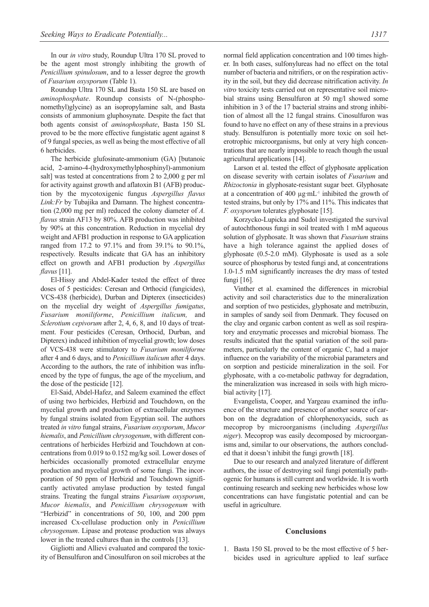In our *in vitro* study, Roundup Ultra 170 SL proved to be the agent most strongly inhibiting the growth of *Penicillium spinulosum*, and to a lesser degree the growth of *Fusarium oxysporum* (Table 1).

Roundup Ultra 170 SL and Basta 150 SL are based on *aminophosphate*. Roundup consists of N-(phosphonomethyl)glycine) as an isopropylamine salt, and Basta consists of ammonium gluphosynate. Despite the fact that both agents consist of *aminophosphate*, Basta 150 SL proved to be the more effective fungistatic agent against 8 of 9 fungal species, as well as being the most effective of all 6 herbicides.

The herbicide glufosinate-ammonium (GA) [butanoic acid, 2-amino-4-(hydroxymethylphosphinyl)-ammonium salt] was tested at concentrations from 2 to 2,000 g per ml for activity against growth and aflatoxin B1 (AFB) production by the mycotoxigenic fungus *Aspergillus flavus Link:Fr* by Tubajika and Damann. The highest concentration (2,000 mg per ml) reduced the colony diameter of *A. flavus* strain AF13 by 80%. AFB production was inhibited by 90% at this concentration. Reduction in mycelial dry weight and AFB1 production in response to GA application ranged from 17.2 to 97.1% and from 39.1% to 90.1%, respectively. Results indicate that GA has an inhibitory effect on growth and AFB1 production by *Aspergillus flavus* [11].

El-Hissy and Abdel-Kader tested the effect of three doses of 5 pesticides: Ceresan and Orthocid (fungicides), VCS-438 (herbicide), Durban and Dipterex (insecticides) on the mycelial dry weight of *Aspergillus fumigatus*, *Fusarium moniliforme*, *Penicillium italicum,* and *Sclerotium cepivorum* after 2, 4, 6, 8, and 10 days of treatment. Four pesticides (Ceresan, Orthocid, Durban, and Dipterex) induced inhibition of mycelial growth; low doses of VCS-438 were stimulatory to *Fusarium moniliforme* after 4 and 6 days, and to *Penicillium italicum* after 4 days. According to the authors, the rate of inhibition was influenced by the type of fungus, the age of the mycelium, and the dose of the pesticide [12].

El-Said, Abdel-Hafez, and Saleem examined the effect of using two herbicides, Herbizid and Touchdown, on the mycelial growth and production of extracellular enzymes by fungal strains isolated from Egyptian soil. The authors treated *in vitro* fungal strains, *Fusarium oxysporum*, *Mucor hiemalis*, and *Penicillium chrysogenum*, with different concentrations of herbicides Herbizid and Touchdown at concentrations from 0.019 to 0.152 mg/kg soil. Lower doses of herbicides occasionally promoted extracellular enzyme production and mycelial growth of some fungi. The incorporation of 50 ppm of Herbizid and Touchdown significantly activated amylase production by tested fungal strains. Treating the fungal strains *Fusarium oxysporum*, *Mucor hiemalis*, and *Penicillium chrysogenum* with "Herbizid" in concentrations of 50, 100, and 200 ppm increased Cx-cellulase production only in *Penicillium chrysogenum*. Lipase and protease production was always lower in the treated cultures than in the controls [13].

Gigliotti and Allievi evaluated and compared the toxicity of Bensulfuron and Cinosulfuron on soil microbes at the normal field application concentration and 100 times higher. In both cases, sulfonylureas had no effect on the total number of bacteria and nitrifiers, or on the respiration activity in the soil, but they did decrease nitrification activity. *In vitro* toxicity tests carried out on representative soil microbial strains using Bensulfuron at 50 mg/l showed some inhibition in 3 of the 17 bacterial strains and strong inhibition of almost all the 12 fungal strains. Cinosulfuron was found to have no effect on any of these strains in a previous study. Bensulfuron is potentially more toxic on soil heterotrophic microorganisms, but only at very high concentrations that are nearly impossible to reach though the usual agricultural applications [14].

Larson et al. tested the effect of glyphosate application on disease severity with certain isolates of *Fusarium* and *Rhizoctonia* in glyphosate-resistant sugar beet. Glyphosate at a concentration of 400 µg·mL-1 inhibited the growth of tested strains, but only by 17% and 11%. This indicates that *F. oxysporum* tolerates glyphosate [15].

Korzycko-Lupicka and Sudol investigated the survival of autochthonous fungi in soil treated with 1 mM aqueous solution of glyphosate. It was shown that *Fusarium* strains have a high tolerance against the applied doses of glyphosate (0.5-2.0 mM). Glyphosate is used as a sole source of phosphorus by tested fungi and, at concentrations 1.0-1.5 mM significantly increases the dry mass of tested fungi [16].

Vinther et al. examined the differences in microbial activity and soil characteristics due to the mineralization and sorption of two pesticides, glyphosate and metribuzin, in samples of sandy soil from Denmark. They focused on the clay and organic carbon content as well as soil respiratory and enzymatic processes and microbial biomass. The results indicated that the spatial variation of the soil parameters, particularly the content of organic C, had a major influence on the variability of the microbial parameters and on sorption and pesticide mineralization in the soil. For glyphosate, with a co-metabolic pathway for degradation, the mineralization was increased in soils with high microbial activity [17].

Evangelista, Cooper, and Yargeau examined the influence of the structure and presence of another source of carbon on the degradation of chlorphenoxyacids, such as mecoprop by microorganisms (including *Aspergillus niger*). Mecoprop was easily decomposed by microorganisms and, similar to our observations, the authors concluded that it doesn't inhibit the fungi growth [18].

Due to our research and analyzed literature of different authors, the issue of destroying soil fungi potentially pathogenic for humans is still current and worldwide. It is worth continuing research and seeking new herbicides whose low concentrations can have fungistatic potential and can be useful in agriculture.

#### **Conclusions**

1. Basta 150 SL proved to be the most effective of 5 herbicides used in agriculture applied to leaf surface